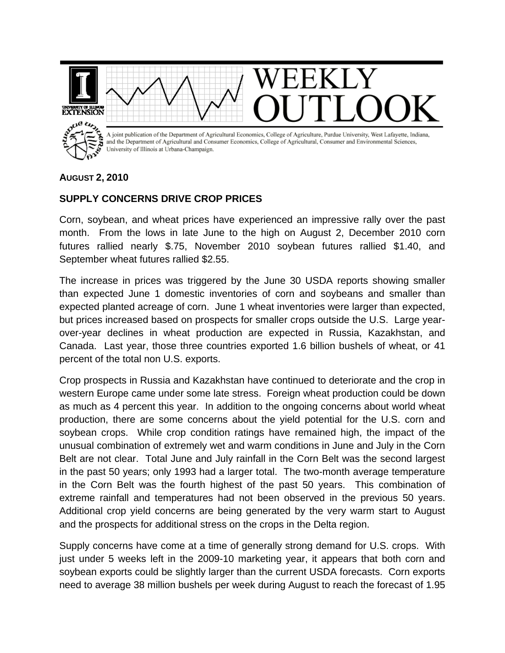

## **AUGUST 2, 2010**

## **SUPPLY CONCERNS DRIVE CROP PRICES**

Corn, soybean, and wheat prices have experienced an impressive rally over the past month. From the lows in late June to the high on August 2, December 2010 corn futures rallied nearly \$.75, November 2010 soybean futures rallied \$1.40, and September wheat futures rallied \$2.55.

The increase in prices was triggered by the June 30 USDA reports showing smaller than expected June 1 domestic inventories of corn and soybeans and smaller than expected planted acreage of corn. June 1 wheat inventories were larger than expected, but prices increased based on prospects for smaller crops outside the U.S. Large yearover-year declines in wheat production are expected in Russia, Kazakhstan, and Canada. Last year, those three countries exported 1.6 billion bushels of wheat, or 41 percent of the total non U.S. exports.

Crop prospects in Russia and Kazakhstan have continued to deteriorate and the crop in western Europe came under some late stress. Foreign wheat production could be down as much as 4 percent this year. In addition to the ongoing concerns about world wheat production, there are some concerns about the yield potential for the U.S. corn and soybean crops. While crop condition ratings have remained high, the impact of the unusual combination of extremely wet and warm conditions in June and July in the Corn Belt are not clear. Total June and July rainfall in the Corn Belt was the second largest in the past 50 years; only 1993 had a larger total. The two-month average temperature in the Corn Belt was the fourth highest of the past 50 years. This combination of extreme rainfall and temperatures had not been observed in the previous 50 years. Additional crop yield concerns are being generated by the very warm start to August and the prospects for additional stress on the crops in the Delta region.

Supply concerns have come at a time of generally strong demand for U.S. crops. With just under 5 weeks left in the 2009-10 marketing year, it appears that both corn and soybean exports could be slightly larger than the current USDA forecasts. Corn exports need to average 38 million bushels per week during August to reach the forecast of 1.95